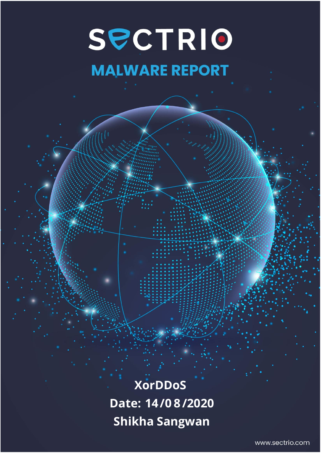# SPCTRIO **MALWARE REPORT**

**XorDDoS Date: 14/0 8/2020 Shikha Sangwan**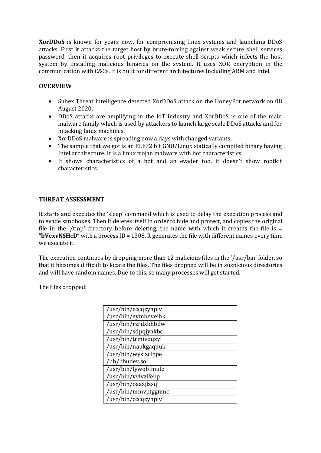**XorDDoS** is known for years now, for compromising linux systems and launching DDoS attacks. First it attacks the target host by brute-forcing against weak secure shell services password, then it acquires root privileges to execute shell scripts which infects the host system by installing malicious binaries on the system. It uses XOR encryption in the communication with C&Cs. It is built for different architectures including ARM and Intel.

## **OVERVIEW**

- Subex Threat Intelligence detected XorDDoS attack on the HoneyPot network on 08 August 2020.
- DDoS attacks are amplifying in the IoT industry and XorDDoS is one of the main malware family which is used by attackers to launch large scale DDoS attacks and for hijacking linux machines.
- XorDDoS malware is spreading now a days with changed variants.
- The sample that we got is an ELF32 bit GNU/Linux statically compiled binary having Intel architecture. It is a linux trojan malware with bot characteristics.
- It shows characteristics of a bot and an evader too, it doesn't show rootkit characteristics.

## **THREAT ASSESSMENT**

It starts and executes the 'sleep' command which is used to delay the execution process and to evade sandboxes. Then it deletes itself in order to hide and protect, and copies the original file in the '/tmp' directory before deleting, the name with which it creates the file is  $=$ "**bVexvNSHcD**" with a process ID = 1308. It generates the file with different names every time we execute it.

The execution continues by dropping more than 12 malicious files in the '/usr/bin' folder, so that it becomes difficult to locate the files. The files dropped will be in suspicious directories and will have random names. Due to this, so many processes will get started.

The files dropped:

| /usr/bin/cccqzynply |
|---------------------|
| /usr/bin/eymbnveibk |
| /usr/bin/rzrdxbhbdw |
| /usr/bin/sdpqjyakbc |
| /usr/bin/trmivoqxyl |
| /usr/bin/naukgaquuk |
| /usr/bin/wyslzclppe |
| /lib/libudev.so     |
| /usr/bin/lywqbfmulc |
| /usr/bin/vvivzlfebp |
| /usr/bin/oaazjlzsqi |
| usr/bin/mmyptggmnc  |
| /usr/bin/cccqzynply |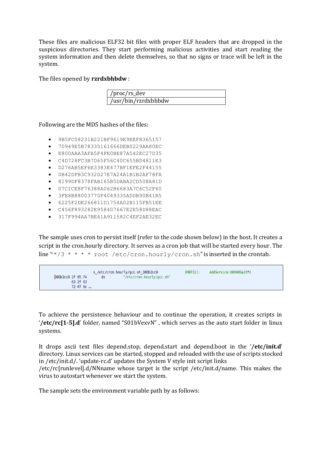These files are malicious ELF32 bit files with proper ELF headers that are dropped in the suspicious directories. They start performing malicious activities and start reading the system information and then delete themselves, so that no signs or trace will be left in the system.

The files opened by **rzrdxbhbdw** :

| $\frac{1}{\sqrt{2}}$ /proc/rs_dev |  |
|-----------------------------------|--|
| /usr/bin/rzrdxbhbdw               |  |

Following are the MD5 hashes of the files:

- 9B5FC08231B221BF9619E9EEF8365157
- 70949E5B78335161666DEB0229AA80EC
- E800AAA3AFA5F4FE0BE87A542EC27D35
- C4D728FC3B7D65F56C40C655BD4811E3
- D276AB5EF6E3383E477BF1EFE2F44155
- 0B42DFB3C932D27E7A24A1B1B2AF78FA
- 8199DF8378FAB165B5DABA2CD508A81D
- 07C1CE8F76388A062B6683A7C6C52F60
- 3FE8B88003770F4049335ADDB90B41B5
- 6225F2DE266811D1754A02B115FB51EE
- C456F893282E958407667E2E58D88EAC • 317F994AA7BE61A911582C4EF2AE32EC

The sample uses cron to persist itself (refer to the code shown below) in the host. It creates a script in the cron.hourly directory. It serves as a cron job that will be started every hour. The line " $*/3$  \* \* \* \* root /etc/cron.hourly/cron.sh" is inserted in the crontab.

| s /etc/cron.hourly/gcc.sh 080b2cc9 |  |  |          |  |    |                           | $XREF[1]$ : | AddService: 080489a2(*) |  |
|------------------------------------|--|--|----------|--|----|---------------------------|-------------|-------------------------|--|
| <b>D80b2cc9 2f 65 74</b>           |  |  |          |  | ds | "/etc/cron.hourly/gcc.sh" |             |                         |  |
|                                    |  |  | 63 2f 63 |  |    |                           |             |                         |  |
|                                    |  |  | 72 6f 6e |  |    |                           |             |                         |  |

To achieve the persistence behaviour and to continue the operation, it creates scripts in '**/etc/rc[1-5].d**' folder, named "S01bVexvN" , which serves as the auto start folder in linux systems.

It drops ascii text files depend.stop, depend.start and depend.boot in the '**/etc/init.d**' directory. Linux services can be started, stopped and reloaded with the use of scripts stocked in /etc/init.d/. 'update-rc.d' updates the System V style init script links

/etc/rc[runlevel].d/NNname whose target is the script /etc/init.d/name. This makes the virus to autostart whenever we start the system.

The sample sets the environment variable path by as follows: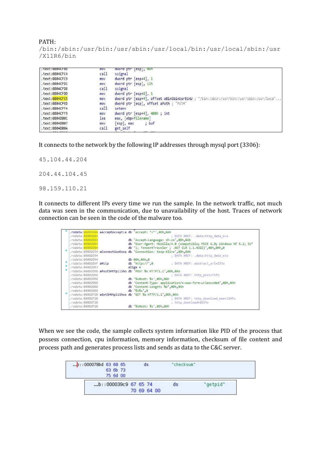/bin:/sbin:/usr/bin:/usr/sbin:/usr/local/bin:/usr/local/sbin:/usr /X11R6/bin

| .text:0804CFBD | mov  | dword ptr [esp], 0Dh                                                                  |
|----------------|------|---------------------------------------------------------------------------------------|
| .text:0804CFC4 | call | ssignal                                                                               |
| .text:0804CFC9 | mov  | dword ptr [esp+4], 1                                                                  |
| .text:0804CFD1 | mov  | dword ptr [esp], 11h                                                                  |
| .text:0804CFD8 | call | ssignal                                                                               |
| .text:0804CFDD | mov  | dword ptr [esp+8], 1                                                                  |
| .text:0804CFE5 | mov  | dword ptr [esp+4], offset aBinSbinUsrBinU ; "/bin:/sbin:/usr/bin:/usr/sbin:/usr/loca" |
| .text:0804CFED | mov  | dword ptr [esp], offset aPath ; "PATH"                                                |
| .text:0804CFF4 | call | seteny                                                                                |
| .text:0804CFF9 | mov  | dword ptr [esp+4], 400h; int                                                          |
| .text:0804D001 | lea: | eax, [ebp+filename]                                                                   |
| .text:0804D007 | mov  | $[esp]$ , eax<br>; buf                                                                |
| .text:0804D00A | call | get self                                                                              |

It connects to the network by the following IP addresses through mysql port (3306):

45.104.44.204

204.44.104.45

98.159.110.21

It connects to different IPs every time we run the sample. In the network traffic, not much data was seen in the communication, due to unavailability of the host. Traces of network connection can be seen in the code of the malware too.

| .rodata: 08082504                          | .rodata: 080B2E04 aAcceptAcceptLa db 'Accept: */*'.0Dh.0Ah<br>; DATA XREF: .data:http data mio                                   |  |
|--------------------------------------------|----------------------------------------------------------------------------------------------------------------------------------|--|
| .rodata:08082E04                           | db 'Accept-Language: zh-cn',0Dh,0Ah                                                                                              |  |
| .rodata: 080B2E04<br>.rodata:08082E04      | db 'User-Agent: Mozilla/4.0 (compatible; MSIE 6.0; Windows NT 5.2; SV'<br>db '1; TencentTraveler ; .NET CLR 1.1.4322)',0Dh,0Ah,0 |  |
| .rodata:080B2E94                           | .rodata:08082E94 aConnectionKeep db 'Connection: Keep-Alive',0Dh,0Ah<br>; DATA XREF: .data:http_data_e↓o                         |  |
| .rodata:08082E94<br>.rodata:080B2EAF aHttp | db eph.eAh.e<br>db 'http://'.0<br>; DATA XREF: abstract url+23to                                                                 |  |
| .rodata:08082EB7                           | align 4<br>.rodata:080B2EB8 aPostSHttp11Sho db 'POST %s HTTP/1.1',0Dh.0Ah                                                        |  |
| .rodata:080B2EB8<br>.rodata:080B2EB8       | ; DATA XREF: http post+F51o<br>db '%sHost: %s',0Dh,0Ah                                                                           |  |
| .rodata:08082EB8<br>.rodata:08082EB8       | db 'Content-Type: application/x-www-form-urlencoded',0Dh,0Ah<br>db 'Content-Length: %d',0Dh,0Ah                                  |  |
| .rodata:080B2EB8                           | $db$ $%5%5$ $.0$<br>.rodata:080B2F20 aGetSHttp11Shos db 'GET %s HTTP/1.1',0Dh,0Ah                                                |  |
| .rodata:08082F20<br>.rodata:08082F20       | ; DATA XREF: http download mem+124fo<br>; http download+263fo                                                                    |  |
| .rodata:080B2F20                           | db '%sHost: %s',0Dh,0Ah                                                                                                          |  |

When we see the code, the sample collects system information like PID of the process that possess connection, cpu information, memory information, checksum of file content and process path and generates process lists and sends as data to the C&C server.

| $\ldots$ b::000078bd 63 68 65<br>63 6b 73 |             | ds | "checksum" |          |
|-------------------------------------------|-------------|----|------------|----------|
| 75 6d 00                                  |             |    |            |          |
| $b$ : 000039c9 67 65 74                   |             |    | ds         | "getpid" |
|                                           | 70 69 64 00 |    |            |          |

## PATH: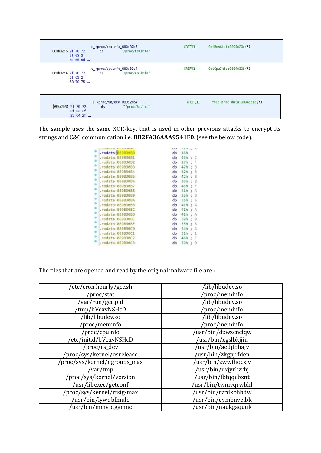

The sample uses the same XOR-key, that is used in other previous attacks to encrypt its strings and C&C communication i.e. **BB2FA36AAA9541F0**. (see the below code).

|                   | œ  | つどけ |    | ĸ |  |
|-------------------|----|-----|----|---|--|
| .rodata: 08083080 | db | 1Ah |    |   |  |
| .rodata:080B30B1  | db | 43h | R  |   |  |
| .rodata:08083082  | db | 27h | G  |   |  |
| .rodata:080B30B3  | db | 42h |    | B |  |
| .rodata:080B30B4  | db | 42h |    | B |  |
| .rodata:08083085  | db | 42h |    | B |  |
| .rodata:080830B6  | db | 32h |    | 2 |  |
| .rodata:080B30B7  | db | 46h | ×. |   |  |
| .rodata:080B30B8  | db | 41h |    |   |  |
| .rodata:080B30B9  | db | 33h |    | 3 |  |
| .rodata:080B30BA  | db | 36h |    | 6 |  |
| .rodata:080830BB  | db | 41h | t  | А |  |
| .rodata:080B30BC  | db | 41h |    | А |  |
| .rodata:080830BD  | db | 41h |    | А |  |
| .rodata:0808308E  | db | 39h | t  | 9 |  |
| .rodata:080B30BF  | db | 35h | 活  | 5 |  |
| .rodata:080830C0  | db | 34h | t  |   |  |
| .rodata:080B30C1  | db | 31h |    |   |  |
| .rodata:080830C2  | db | 46h |    |   |  |
| .rodata:080B30C3  | db | 30h |    | 0 |  |
|                   |    |     |    |   |  |

The files that are opened and read by the original malware file are :

| /etc/cron.hourly/gcc.sh      | /lib/libudev.so     |
|------------------------------|---------------------|
| /proc/stat                   | /proc/meminfo       |
| /var/run/gcc.pid             | /lib/libudev.so     |
| 'tmp/bVexvNSHcD              | 'proc/meminfo       |
| /lib/libudev.so              | /lib/libudev.so     |
| /proc/meminfo                | /proc/meminfo       |
| /proc/cpuinfo                | /usr/bin/dzwzcnclqw |
| 'etc/init.d/bVexvNSHcD       | /usr/bin/xgslbkjjiu |
| /proc/rs_dev                 | usr/bin/aedjfphajv  |
| /proc/sys/kernel/osrelease   | usr/bin/zkgpjrfden  |
| /proc/sys/kernel/ngroups_max | /usr/bin/zwwfhocxjy |
| /var/tmp                     | /usr/bin/uxjyrkzrhj |
| /proc/sys/kernel/version     | usr/bin/fbtqqebxnt  |
| /usr/libexec/getconf         | /usr/bin/twmvqrwbhl |
| /proc/sys/kernel/rtsig-max   | /usr/bin/rzrdxbhbdw |
| /usr/bin/lywqbfmulc          | usr/bin/eymbnveibk  |
| usr/bin/mmyptggmnc           | /usr/bin/naukgaquuk |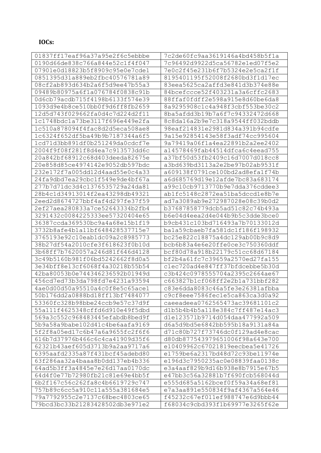# **IOCs:**

| 01837ff17eaf96a37a95e2f6c5ebbbe | 7c2de60fc9aa3619146a4bd458b5f1a |
|---------------------------------|---------------------------------|
| 0190d66de838c766a844e52c1f4f047 | 7c96492d9922d5ca56782e1ed07f5e2 |
| 07901e0d18823b5f8909c95e0e7cde1 | 7e0c2f45e231b6f7b5324e2e5ca2f1f |
| 0851395d31a889eb2fbc40576781a89 | 8195401195f52008f2680bd3f1d17ec |
| 08cf2ab893d634b2a6f5d9ee47b55a3 | 83eea5625ca2affd3e841d3b374e88e |
| 09489b80975a6f1a076784f0838c91b | 84bcefccce52f403231a3a6cffc2683 |
| 0d6cb79acdb715f4198b6133f574e39 | 88ffaf0fdff2e598a915e8d60be6da8 |
| 1093d9e4b8ce510bb0f9d6ff8fb2659 | 8a9295908c1c4a948f3cbf553be30c2 |
| 12d5d743f029662fa0d4c7d224d2f11 | 8ba5afdd3b19b7a6f7c94332472d668 |
| 1c1748bdc1a73be3117f696e449e2fa | 8c8da16a2b9e7c318a9544ff032bddb |
| 1c510a878094f4fac8d2d5eca508ae8 | 98eaf214831e2981d834a391b94cdfe |
| 1c6324f652df5ba49b9b7187344a6f5 | 9a15e92854143e58f3adf74cc995604 |
| 1cd71d3bb891df0b251249da0cdcf7e | 9a79419a06f1a4ea22891b2a2ee2402 |
| 2004f9f08f281f8d4ea7c913573dd6c | a14578469fab44514dfca6c4eead755 |
| 20a842bf68912c68d403deeda82675e | a37bf50d53fb2409c16d7007d018cc8 |
| 20e858d85ce4974142e9052db597bdc | a3bd639bd3113a2e2be97b02ab9531f |
| 232e172f7a005dd12d4aad55e0c4a33 | a609138f0791ce100bd2ad8efa1f74b |
| 24fa9dbd7ea29cbc1f549e9de4bf67a | a6d685769d19e12afde7bc83a683174 |
| 277b7d71dc3d4c1376535729a24da81 | a99c10cb9713770b9e7dda376cddee3 |
| 28b4c1d34913014f2ea43298db49321 | ab1fc5148c2872ea51ba5dccd1e8b7e |
| 2eed2d8674727bbf4af4d297fe37f59 | ad7a3089ab9e272987028e08c39b0d2 |
| 2ef27aea280833a7ce52643334b2fb4 | b37687858779dcb5ad51c82c74b493a |
| 3291432c0084225333ee57320404e65 | b6e04d4eea2d4e044b9b5c3dde3bce0 |
| 36387ccda369530bc9a4a68e15b1f19 | b9cb431c103bd716493a7b70133012d |
| 3732b8afe4b1a11bf648428537715e7 | bala59cbaeb7fa581dc1f186f198932 |
| 3765193e92c10eab1dc09a2c8985773 | bc25e822c18875a4dc129ab00b9c8d9 |
| 38b27df54a2010cfe3f618623f0b10d | bcb6b83a4e6e20ffe0ce3c750360ddf |
| 3b68ff7b7620057a246d81f646d4128 | bcf80d78a918b22179c51cc68d67184 |
| 3c49b5160b981f06bd5242662f8d0a5 | bf2b4a61fc7c39659a2570ed27fa155 |
| 3e34bff8e13cf6068f4a30218b55b54 | clec720ad4e847ff37bfdcebbe5b30d |
| 42ba80053b0e744346236592b01949d | c3b424c0978555704a2395c2664ae67 |
| 456cd7ed73b3da798fd7e4231a93594 | c663827b1cf068ff2e2b1a731bbf282 |
| 4ae0d00d50a95510a4c0f8e5c65ace1 | c83e6dda8083c46a5fe3e26381afbba |
| 50b176dd2a0888bd18ff13bf7484077 | c9cf8eee7586fec1e5ca863ca3d0a92 |
| 53360fc328b98bbe24ccb9e57c37d9f | caeeadeea0762565473ac39681101c2 |
| 55a111f4625348cffd6d910e49f5dbd | d1b5b4b4b5a118e384c7ff487e14ac3 |
| 569a3c552c968483445efabdb8bed9f | d1e123571b9714d054daa477992a509 |
| 5b9a58a9babe102d41c4be6aafa9169 | d6a5d9bd5e6842bb595b18a9131a84a |
| 5f2f8a05ed17c6b47a6a9655fc2f6f6 | d71c80b727f73746dc0f129ad4e8cac |
| 616b7d37976b466c6c4ca41909d35f6 | d80db877543979651006f98a643e700 |
| 62321b43aef605d3713b9a2aa9717a6 | e10409962c67021819eecbea5e41726 |
| 6395aafd2335a87f431bcf45adebd80 | e1759be6a2317bd48d72c93be11974e |
| 63f286aa32a4baaa8b0dd137eb4b336 | e196d3c7950235ac0e08839faa0138c |
| 64ad5b3ff3a4845e7e26d17aa0170dc | e3a4aaf829b9d16b938e8b7915e67b5 |
| 64d4f0e77b72980fb21c81e69e4bb5f | e47bb3c56a32881b7f690fcb568044d |
| 6b2f167c56c262fa8c4b6619729c747 | e555d685a5162bcef0f59a34a68ef81 |
| 757b89c6cc5a910c11a555a381684e5 | e7a3aa891e550834f9af4367a564e46 |
| 79a7792955c2e7137c68bec4803ce65 | f45232c67ef011ef988747e6d9bbb44 |
| 79bcd3bc33b21283428502db3e971e2 | f68034c9cbd393f1b69977e3265f62e |